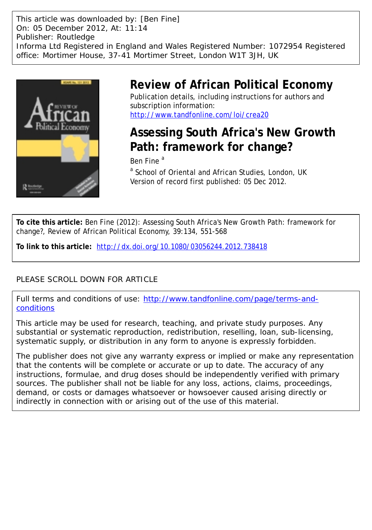This article was downloaded by: [Ben Fine] On: 05 December 2012, At: 11:14 Publisher: Routledge Informa Ltd Registered in England and Wales Registered Number: 1072954 Registered office: Mortimer House, 37-41 Mortimer Street, London W1T 3JH, UK



# **Review of African Political Economy**

Publication details, including instructions for authors and subscription information: <http://www.tandfonline.com/loi/crea20>

# **Assessing South Africa's New Growth Path: framework for change?**

Ben Fine<sup>a</sup>

<sup>a</sup> School of Oriental and African Studies, London, UK Version of record first published: 05 Dec 2012.

**To cite this article:** Ben Fine (2012): Assessing South Africa's New Growth Path: framework for change?, Review of African Political Economy, 39:134, 551-568

**To link to this article:** <http://dx.doi.org/10.1080/03056244.2012.738418>

## PLEASE SCROLL DOWN FOR ARTICLE

Full terms and conditions of use: [http://www.tandfonline.com/page/terms-and](http://www.tandfonline.com/page/terms-and-conditions)[conditions](http://www.tandfonline.com/page/terms-and-conditions)

This article may be used for research, teaching, and private study purposes. Any substantial or systematic reproduction, redistribution, reselling, loan, sub-licensing, systematic supply, or distribution in any form to anyone is expressly forbidden.

The publisher does not give any warranty express or implied or make any representation that the contents will be complete or accurate or up to date. The accuracy of any instructions, formulae, and drug doses should be independently verified with primary sources. The publisher shall not be liable for any loss, actions, claims, proceedings, demand, or costs or damages whatsoever or howsoever caused arising directly or indirectly in connection with or arising out of the use of this material.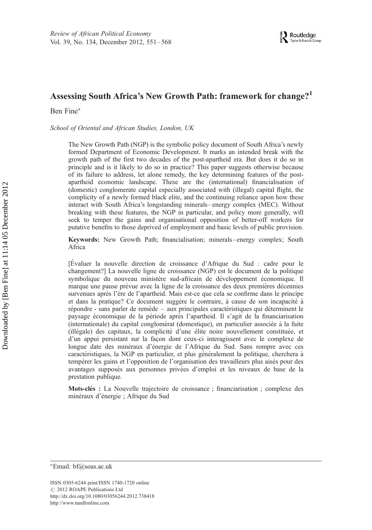# Assessing South Africa's New Growth Path: framework for change?<sup>1</sup>

Ben Fine<sup>∗</sup>

#### School of Oriental and African Studies, London, UK

The New Growth Path (NGP) is the symbolic policy document of South Africa's newly formed Department of Economic Development. It marks an intended break with the growth path of the first two decades of the post-apartheid era. But does it do so in principle and is it likely to do so in practice? This paper suggests otherwise because of its failure to address, let alone remedy, the key determining features of the postapartheid economic landscape. These are the (international) financialisation of (domestic) conglomerate capital especially associated with (illegal) capital flight, the complicity of a newly formed black elite, and the continuing reliance upon how these interact with South Africa's longstanding minerals –energy complex (MEC). Without breaking with these features, the NGP in particular, and policy more generally, will seek to temper the gains and organisational opposition of better-off workers for putative benefits to those deprived of employment and basic levels of public provision.

Keywords: New Growth Path; financialisation; minerals–energy complex; South Africa

[E´ valuer la nouvelle direction de croissance d'Afrique du Sud : cadre pour le changement?] La nouvelle ligne de croissance (NGP) est le document de la politique symbolique du nouveau ministère sud-africain de développement économique. Il marque une pause prévue avec la ligne de la croissance des deux premières décennies survenues après l'ère de l'apartheid. Mais est-ce que cela se confirme dans le principe et dans la pratique? Ce document suggère le contraire, à cause de son incapacité à  $r$ épondre - sans parler de remède – aux principales caractéristiques qui déterminent le paysage économique de la période après l'apartheid. Il s'agit de la financiarisation (internationale) du capital conglomérat (domestique), en particulier associée à la fuite (illégale) des capitaux, la complicité d'une élite noire nouvellement constituée, et d'un appui persistant sur la façon dont ceux-ci interagissent avec le complexe de longue date des minéraux d'énergie de l'Afrique du Sud. Sans rompre avec ces caractéristiques, la NGP en particulier, et plus généralement la politique, cherchera à tempérer les gains et l'opposition de l'organisation des travailleurs plus aisés pour des avantages supposés aux personnes privées d'emploi et les niveaux de base de la prestation publique.

Mots-clés : La Nouvelle trajectoire de croissance ; financiarisation ; complexe des minéraux d'énergie ; Afrique du Sud

ISSN 0305-6244 print/ISSN 1740-1720 online  $\odot$  2012 ROAPE Publications Ltd http://dx.doi.org/10.1080/03056244.2012.738418 http://www.tandfonline.com

<sup>∗</sup>Email: bf@soas.ac.uk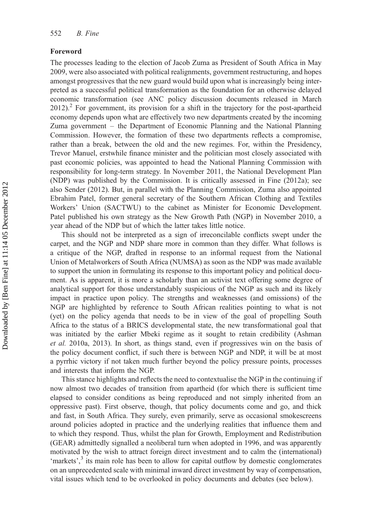#### Foreword

The processes leading to the election of Jacob Zuma as President of South Africa in May 2009, were also associated with political realignments, government restructuring, and hopes amongst progressives that the new guard would build upon what is increasingly being interpreted as a successful political transformation as the foundation for an otherwise delayed economic transformation (see ANC policy discussion documents released in March  $2012$ ).<sup>2</sup> For government, its provision for a shift in the trajectory for the post-apartheid economy depends upon what are effectively two new departments created by the incoming Zuma government – the Department of Economic Planning and the National Planning Commission. However, the formation of these two departments reflects a compromise, rather than a break, between the old and the new regimes. For, within the Presidency, Trevor Manuel, erstwhile finance minister and the politician most closely associated with past economic policies, was appointed to head the National Planning Commission with responsibility for long-term strategy. In November 2011, the National Development Plan (NDP) was published by the Commission. It is critically assessed in Fine (2012a); see also Sender (2012). But, in parallel with the Planning Commission, Zuma also appointed Ebrahim Patel, former general secretary of the Southern African Clothing and Textiles Workers' Union (SACTWU) to the cabinet as Minister for Economic Development. Patel published his own strategy as the New Growth Path (NGP) in November 2010, a year ahead of the NDP but of which the latter takes little notice.

This should not be interpreted as a sign of irreconcilable conflicts swept under the carpet, and the NGP and NDP share more in common than they differ. What follows is a critique of the NGP, drafted in response to an informal request from the National Union of Metalworkers of South Africa (NUMSA) as soon as the NDP was made available to support the union in formulating its response to this important policy and political document. As is apparent, it is more a scholarly than an activist text offering some degree of analytical support for those understandably suspicious of the NGP as such and its likely impact in practice upon policy. The strengths and weaknesses (and omissions) of the NGP are highlighted by reference to South African realities pointing to what is not (yet) on the policy agenda that needs to be in view of the goal of propelling South Africa to the status of a BRICS developmental state, the new transformational goal that was initiated by the earlier Mbeki regime as it sought to retain credibility (Ashman et al. 2010a, 2013). In short, as things stand, even if progressives win on the basis of the policy document conflict, if such there is between NGP and NDP, it will be at most a pyrrhic victory if not taken much further beyond the policy pressure points, processes and interests that inform the NGP.

This stance highlights and reflects the need to contextualise the NGP in the continuing if now almost two decades of transition from apartheid (for which there is sufficient time elapsed to consider conditions as being reproduced and not simply inherited from an oppressive past). First observe, though, that policy documents come and go, and thick and fast, in South Africa. They surely, even primarily, serve as occasional smokescreens around policies adopted in practice and the underlying realities that influence them and to which they respond. Thus, whilst the plan for Growth, Employment and Redistribution (GEAR) admittedly signalled a neoliberal turn when adopted in 1996, and was apparently motivated by the wish to attract foreign direct investment and to calm the (international) 'markets', $3$  its main role has been to allow for capital outflow by domestic conglomerates on an unprecedented scale with minimal inward direct investment by way of compensation, vital issues which tend to be overlooked in policy documents and debates (see below).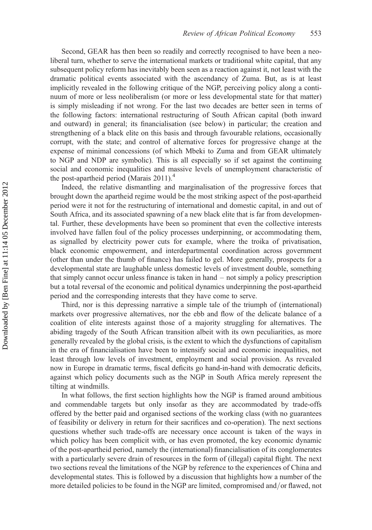Second, GEAR has then been so readily and correctly recognised to have been a neoliberal turn, whether to serve the international markets or traditional white capital, that any subsequent policy reform has inevitably been seen as a reaction against it, not least with the dramatic political events associated with the ascendancy of Zuma. But, as is at least implicitly revealed in the following critique of the NGP, perceiving policy along a continuum of more or less neoliberalism (or more or less developmental state for that matter) is simply misleading if not wrong. For the last two decades are better seen in terms of the following factors: international restructuring of South African capital (both inward and outward) in general; its financialisation (see below) in particular; the creation and strengthening of a black elite on this basis and through favourable relations, occasionally corrupt, with the state; and control of alternative forces for progressive change at the expense of minimal concessions (of which Mbeki to Zuma and from GEAR ultimately to NGP and NDP are symbolic). This is all especially so if set against the continuing social and economic inequalities and massive levels of unemployment characteristic of the post-apartheid period (Marais 2011).<sup>4</sup>

Indeed, the relative dismantling and marginalisation of the progressive forces that brought down the apartheid regime would be the most striking aspect of the post-apartheid period were it not for the restructuring of international and domestic capital, in and out of South Africa, and its associated spawning of a new black elite that is far from developmental. Further, these developments have been so prominent that even the collective interests involved have fallen foul of the policy processes underpinning, or accommodating them, as signalled by electricity power cuts for example, where the troika of privatisation, black economic empowerment, and interdepartmental coordination across government (other than under the thumb of finance) has failed to gel. More generally, prospects for a developmental state are laughable unless domestic levels of investment double, something that simply cannot occur unless finance is taken in hand – not simply a policy prescription but a total reversal of the economic and political dynamics underpinning the post-apartheid period and the corresponding interests that they have come to serve.

Third, nor is this depressing narrative a simple tale of the triumph of (international) markets over progressive alternatives, nor the ebb and flow of the delicate balance of a coalition of elite interests against those of a majority struggling for alternatives. The abiding tragedy of the South African transition albeit with its own peculiarities, as more generally revealed by the global crisis, is the extent to which the dysfunctions of capitalism in the era of financialisation have been to intensify social and economic inequalities, not least through low levels of investment, employment and social provision. As revealed now in Europe in dramatic terms, fiscal deficits go hand-in-hand with democratic deficits, against which policy documents such as the NGP in South Africa merely represent the tilting at windmills.

In what follows, the first section highlights how the NGP is framed around ambitious and commendable targets but only insofar as they are accommodated by trade-offs offered by the better paid and organised sections of the working class (with no guarantees of feasibility or delivery in return for their sacrifices and co-operation). The next sections questions whether such trade-offs are necessary once account is taken of the ways in which policy has been complicit with, or has even promoted, the key economic dynamic of the post-apartheid period, namely the (international) financialisation of its conglomerates with a particularly severe drain of resources in the form of (illegal) capital flight. The next two sections reveal the limitations of the NGP by reference to the experiences of China and developmental states. This is followed by a discussion that highlights how a number of the more detailed policies to be found in the NGP are limited, compromised and/or flawed, not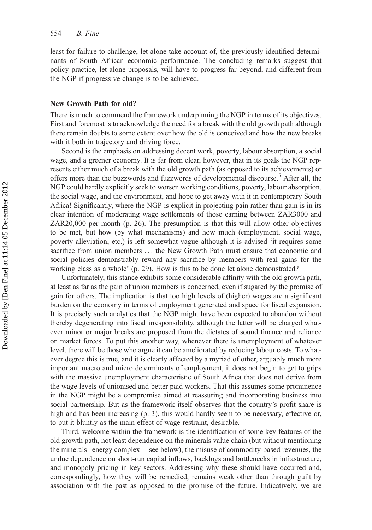least for failure to challenge, let alone take account of, the previously identified determinants of South African economic performance. The concluding remarks suggest that policy practice, let alone proposals, will have to progress far beyond, and different from the NGP if progressive change is to be achieved.

#### New Growth Path for old?

There is much to commend the framework underpinning the NGP in terms of its objectives. First and foremost is to acknowledge the need for a break with the old growth path although there remain doubts to some extent over how the old is conceived and how the new breaks with it both in trajectory and driving force.

Second is the emphasis on addressing decent work, poverty, labour absorption, a social wage, and a greener economy. It is far from clear, however, that in its goals the NGP represents either much of a break with the old growth path (as opposed to its achievements) or offers more than the buzzwords and fuzzwords of developmental discourse.<sup>5</sup> After all, the NGP could hardly explicitly seek to worsen working conditions, poverty, labour absorption, the social wage, and the environment, and hope to get away with it in contemporary South Africa! Significantly, where the NGP is explicit in projecting pain rather than gain is in its clear intention of moderating wage settlements of those earning between ZAR3000 and ZAR20,000 per month (p. 26). The presumption is that this will allow other objectives to be met, but how (by what mechanisms) and how much (employment, social wage, poverty alleviation, etc.) is left somewhat vague although it is advised 'it requires some sacrifice from union members ... the New Growth Path must ensure that economic and social policies demonstrably reward any sacrifice by members with real gains for the working class as a whole' (p. 29). How is this to be done let alone demonstrated?

Unfortunately, this stance exhibits some considerable affinity with the old growth path, at least as far as the pain of union members is concerned, even if sugared by the promise of gain for others. The implication is that too high levels of (higher) wages are a significant burden on the economy in terms of employment generated and space for fiscal expansion. It is precisely such analytics that the NGP might have been expected to abandon without thereby degenerating into fiscal irresponsibility, although the latter will be charged whatever minor or major breaks are proposed from the dictates of sound finance and reliance on market forces. To put this another way, whenever there is unemployment of whatever level, there will be those who argue it can be ameliorated by reducing labour costs. To whatever degree this is true, and it is clearly affected by a myriad of other, arguably much more important macro and micro determinants of employment, it does not begin to get to grips with the massive unemployment characteristic of South Africa that does not derive from the wage levels of unionised and better paid workers. That this assumes some prominence in the NGP might be a compromise aimed at reassuring and incorporating business into social partnership. But as the framework itself observes that the country's profit share is high and has been increasing (p. 3), this would hardly seem to be necessary, effective or, to put it bluntly as the main effect of wage restraint, desirable.

Third, welcome within the framework is the identification of some key features of the old growth path, not least dependence on the minerals value chain (but without mentioning the minerals –energy complex – see below), the misuse of commodity-based revenues, the undue dependence on short-run capital inflows, backlogs and bottlenecks in infrastructure, and monopoly pricing in key sectors. Addressing why these should have occurred and, correspondingly, how they will be remedied, remains weak other than through guilt by association with the past as opposed to the promise of the future. Indicatively, we are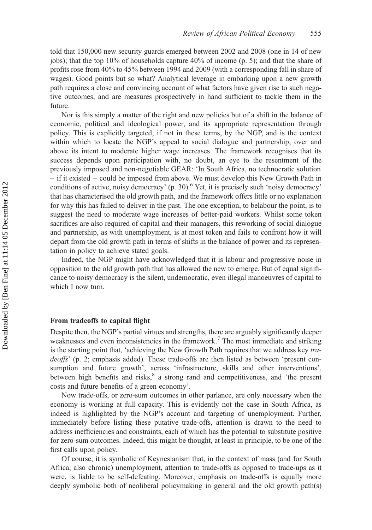told that 150,000 new security guards emerged between 2002 and 2008 (one in 14 of new jobs); that the top 10% of households capture 40% of income (p. 5); and that the share of profits rose from 40% to 45% between 1994 and 2009 (with a corresponding fall in share of wages). Good points but so what? Analytical leverage in embarking upon a new growth path requires a close and convincing account of what factors have given rise to such negative outcomes, and are measures prospectively in hand sufficient to tackle them in the future.

Nor is this simply a matter of the right and new policies but of a shift in the balance of economic, political and ideological power, and its appropriate representation through policy. This is explicitly targeted, if not in these terms, by the NGP, and is the context within which to locate the NGP's appeal to social dialogue and partnership, over and above its intent to moderate higher wage increases. The framework recognises that its success depends upon participation with, no doubt, an eye to the resentment of the previously imposed and non-negotiable GEAR: 'In South Africa, no technocratic solution – if it existed – could be imposed from above. We must develop this New Growth Path in conditions of active, noisy democracy' (p. 30).<sup>6</sup> Yet, it is precisely such 'noisy democracy' that has characterised the old growth path, and the framework offers little or no explanation for why this has failed to deliver in the past. The one exception, to belabour the point, is to suggest the need to moderate wage increases of better-paid workers. Whilst some token sacrifices are also required of capital and their managers, this reworking of social dialogue and partnership, as with unemployment, is at most token and fails to confront how it will depart from the old growth path in terms of shifts in the balance of power and its representation in policy to achieve stated goals.

Indeed, the NGP might have acknowledged that it is labour and progressive noise in opposition to the old growth path that has allowed the new to emerge. But of equal significance to noisy democracy is the silent, undemocratic, even illegal manoeuvres of capital to which I now turn.

#### From tradeoffs to capital flight

Despite then, the NGP's partial virtues and strengths, there are arguably significantly deeper weaknesses and even inconsistencies in the framework.<sup>7</sup> The most immediate and striking is the starting point that, 'achieving the New Growth Path requires that we address key tradeoffs' (p. 2; emphasis added). These trade-offs are then listed as between 'present consumption and future growth', across 'infrastructure, skills and other interventions', between high benefits and risks, $8$  a strong rand and competitiveness, and 'the present costs and future benefits of a green economy'.

Now trade-offs, or zero-sum outcomes in other parlance, are only necessary when the economy is working at full capacity. This is evidently not the case in South Africa, as indeed is highlighted by the NGP's account and targeting of unemployment. Further, immediately before listing these putative trade-offs, attention is drawn to the need to address inefficiencies and constraints, each of which has the potential to substitute positive for zero-sum outcomes. Indeed, this might be thought, at least in principle, to be one of the first calls upon policy.

Of course, it is symbolic of Keynesianism that, in the context of mass (and for South Africa, also chronic) unemployment, attention to trade-offs as opposed to trade-ups as it were, is liable to be self-defeating. Moreover, emphasis on trade-offs is equally more deeply symbolic both of neoliberal policymaking in general and the old growth path(s)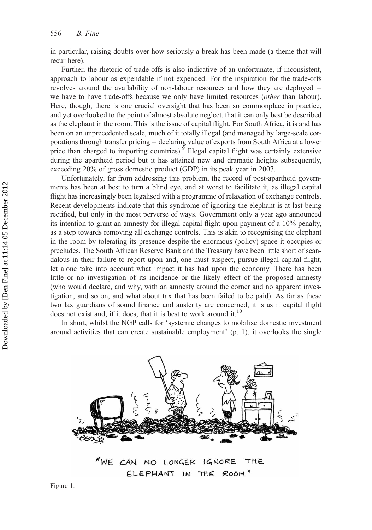in particular, raising doubts over how seriously a break has been made (a theme that will recur here).

Further, the rhetoric of trade-offs is also indicative of an unfortunate, if inconsistent, approach to labour as expendable if not expended. For the inspiration for the trade-offs revolves around the availability of non-labour resources and how they are deployed – we have to have trade-offs because we only have limited resources (*other* than labour). Here, though, there is one crucial oversight that has been so commonplace in practice, and yet overlooked to the point of almost absolute neglect, that it can only best be described as the elephant in the room. This is the issue of capital flight. For South Africa, it is and has been on an unprecedented scale, much of it totally illegal (and managed by large-scale corporations through transfer pricing – declaring value of exports from South Africa at a lower price than charged to importing countries).<sup>9</sup> Illegal capital flight was certainly extensive during the apartheid period but it has attained new and dramatic heights subsequently, exceeding 20% of gross domestic product (GDP) in its peak year in 2007.

Unfortunately, far from addressing this problem, the record of post-apartheid governments has been at best to turn a blind eye, and at worst to facilitate it, as illegal capital flight has increasingly been legalised with a programme of relaxation of exchange controls. Recent developments indicate that this syndrome of ignoring the elephant is at last being rectified, but only in the most perverse of ways. Government only a year ago announced its intention to grant an amnesty for illegal capital flight upon payment of a 10% penalty, as a step towards removing all exchange controls. This is akin to recognising the elephant in the room by tolerating its presence despite the enormous (policy) space it occupies or precludes. The South African Reserve Bank and the Treasury have been little short of scandalous in their failure to report upon and, one must suspect, pursue illegal capital flight, let alone take into account what impact it has had upon the economy. There has been little or no investigation of its incidence or the likely effect of the proposed amnesty (who would declare, and why, with an amnesty around the corner and no apparent investigation, and so on, and what about tax that has been failed to be paid). As far as these two lax guardians of sound finance and austerity are concerned, it is as if capital flight does not exist and, if it does, that it is best to work around it.<sup>10</sup>

In short, whilst the NGP calls for 'systemic changes to mobilise domestic investment around activities that can create sustainable employment' (p. 1), it overlooks the single



 $M_{\text{WE}}$ CAN NO LONGER IGNORE THE ELEPHANT IN THE ROOM"

Downloaded by [Ben Fine] at 11:14 05 December 2012 Downloaded by [Ben Fine] at 11:14 05 December 2012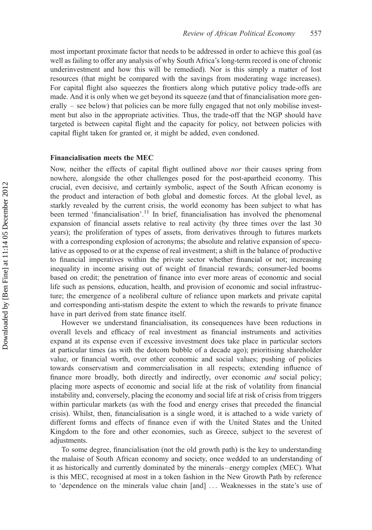most important proximate factor that needs to be addressed in order to achieve this goal (as well as failing to offer any analysis of why South Africa's long-term record is one of chronic underinvestment and how this will be remedied). Nor is this simply a matter of lost resources (that might be compared with the savings from moderating wage increases). For capital flight also squeezes the frontiers along which putative policy trade-offs are made. And it is only when we get beyond its squeeze (and that of financialisation more generally – see below) that policies can be more fully engaged that not only mobilise investment but also in the appropriate activities. Thus, the trade-off that the NGP should have targeted is between capital flight and the capacity for policy, not between policies with capital flight taken for granted or, it might be added, even condoned.

#### Financialisation meets the MEC

Now, neither the effects of capital flight outlined above *nor* their causes spring from nowhere, alongside the other challenges posed for the post-apartheid economy. This crucial, even decisive, and certainly symbolic, aspect of the South African economy is the product and interaction of both global and domestic forces. At the global level, as starkly revealed by the current crisis, the world economy has been subject to what has been termed 'financialisation'.<sup>11</sup> In brief, financialisation has involved the phenomenal expansion of financial assets relative to real activity (by three times over the last 30 years); the proliferation of types of assets, from derivatives through to futures markets with a corresponding explosion of acronyms; the absolute and relative expansion of speculative as opposed to or at the expense of real investment; a shift in the balance of productive to financial imperatives within the private sector whether financial or not; increasing inequality in income arising out of weight of financial rewards; consumer-led booms based on credit; the penetration of finance into ever more areas of economic and social life such as pensions, education, health, and provision of economic and social infrastructure; the emergence of a neoliberal culture of reliance upon markets and private capital and corresponding anti-statism despite the extent to which the rewards to private finance have in part derived from state finance itself.

However we understand financialisation, its consequences have been reductions in overall levels and efficacy of real investment as financial instruments and activities expand at its expense even if excessive investment does take place in particular sectors at particular times (as with the dotcom bubble of a decade ago); prioritising shareholder value, or financial worth, over other economic and social values; pushing of policies towards conservatism and commercialisation in all respects; extending influence of finance more broadly, both directly and indirectly, over economic *and* social policy; placing more aspects of economic and social life at the risk of volatility from financial instability and, conversely, placing the economy and social life at risk of crisis from triggers within particular markets (as with the food and energy crises that preceded the financial crisis). Whilst, then, financialisation is a single word, it is attached to a wide variety of different forms and effects of finance even if with the United States and the United Kingdom to the fore and other economies, such as Greece, subject to the severest of adjustments.

To some degree, financialisation (not the old growth path) is the key to understanding the malaise of South African economy and society, once wedded to an understanding of it as historically and currently dominated by the minerals –energy complex (MEC). What is this MEC, recognised at most in a token fashion in the New Growth Path by reference to 'dependence on the minerals value chain [and] ... Weaknesses in the state's use of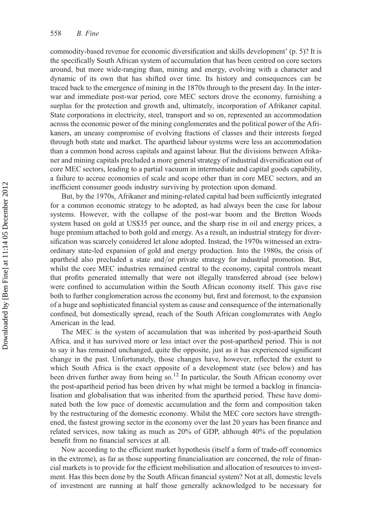commodity-based revenue for economic diversification and skills development' (p. 5)? It is the specifically South African system of accumulation that has been centred on core sectors around, but more wide-ranging than, mining and energy, evolving with a character and dynamic of its own that has shifted over time. Its history and consequences can be traced back to the emergence of mining in the 1870s through to the present day. In the interwar and immediate post-war period, core MEC sectors drove the economy, furnishing a surplus for the protection and growth and, ultimately, incorporation of Afrikaner capital. State corporations in electricity, steel, transport and so on, represented an accommodation across the economic power of the mining conglomerates and the political power of the Afrikaners, an uneasy compromise of evolving fractions of classes and their interests forged through both state and market. The apartheid labour systems were less an accommodation than a common bond across capitals and against labour. But the divisions between Afrikaner and mining capitals precluded a more general strategy of industrial diversification out of core MEC sectors, leading to a partial vacuum in intermediate and capital goods capability, a failure to accrue economies of scale and scope other than in core MEC sectors, and an inefficient consumer goods industry surviving by protection upon demand.

But, by the 1970s, Afrikaner and mining-related capital had been sufficiently integrated for a common economic strategy to be adopted, as had always been the case for labour systems. However, with the collapse of the post-war boom and the Bretton Woods system based on gold at US\$35 per ounce, and the sharp rise in oil and energy prices, a huge premium attached to both gold and energy. As a result, an industrial strategy for diversification was scarcely considered let alone adopted. Instead, the 1970s witnessed an extraordinary state-led expansion of gold and energy production. Into the 1980s, the crisis of apartheid also precluded a state and/or private strategy for industrial promotion. But, whilst the core MEC industries remained central to the economy, capital controls meant that profits generated internally that were not illegally transferred abroad (see below) were confined to accumulation within the South African economy itself. This gave rise both to further conglomeration across the economy but, first and foremost, to the expansion of a huge and sophisticated financial system as cause and consequence of the internationally confined, but domestically spread, reach of the South African conglomerates with Anglo American in the lead.

The MEC is the system of accumulation that was inherited by post-apartheid South Africa, and it has survived more or less intact over the post-apartheid period. This is not to say it has remained unchanged, quite the opposite, just as it has experienced significant change in the past. Unfortunately, those changes have, however, reflected the extent to which South Africa is the exact opposite of a development state (see below) and has been driven further away from being so.<sup>12</sup> In particular, the South African economy over the post-apartheid period has been driven by what might be termed a backlog in financialisation and globalisation that was inherited from the apartheid period. These have dominated both the low pace of domestic accumulation and the form and composition taken by the restructuring of the domestic economy. Whilst the MEC core sectors have strengthened, the fastest growing sector in the economy over the last 20 years has been finance and related services, now taking as much as 20% of GDP, although 40% of the population benefit from no financial services at all.

Now according to the efficient market hypothesis (itself a form of trade-off economics in the extreme), as far as those supporting financialisation are concerned, the role of financial markets is to provide for the efficient mobilisation and allocation of resources to investment. Has this been done by the South African financial system? Not at all, domestic levels of investment are running at half those generally acknowledged to be necessary for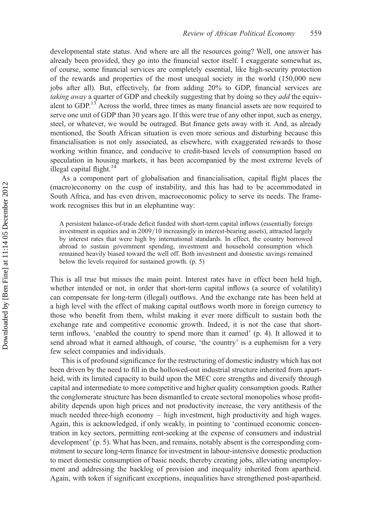developmental state status. And where are all the resources going? Well, one answer has already been provided, they go into the financial sector itself. I exaggerate somewhat as, of course, some financial services are completely essential, like high-security protection of the rewards and properties of the most unequal society in the world (150,000 new jobs after all). But, effectively, far from adding 20% to GDP, financial services are taking away a quarter of GDP and cheekily suggesting that by doing so they add the equivalent to GDP.<sup>13</sup> Across the world, three times as many financial assets are now required to serve one unit of GDP than 30 years ago. If this were true of any other input, such as energy, steel, or whatever, we would be outraged. But finance gets away with it. And, as already mentioned, the South African situation is even more serious and disturbing because this financialisation is not only associated, as elsewhere, with exaggerated rewards to those working within finance, and conducive to credit-based levels of consumption based on speculation in housing markets, it has been accompanied by the most extreme levels of illegal capital flight.<sup>14</sup>

As a component part of globalisation and financialisation, capital flight places the (macro)economy on the cusp of instability, and this has had to be accommodated in South Africa, and has even driven, macroeconomic policy to serve its needs. The framework recognises this but in an elephantine way:

A persistent balance-of-trade deficit funded with short-term capital inflows (essentially foreign investment in equities and in 2009/10 increasingly in interest-bearing assets), attracted largely by interest rates that were high by international standards. In effect, the country borrowed abroad to sustain government spending, investment and household consumption which remained heavily biased toward the well off. Both investment and domestic savings remained below the levels required for sustained growth. (p. 5)

This is all true but misses the main point. Interest rates have in effect been held high, whether intended or not, in order that short-term capital inflows (a source of volatility) can compensate for long-term (illegal) outflows. And the exchange rate has been held at a high level with the effect of making capital outflows worth more in foreign currency to those who benefit from them, whilst making it ever more difficult to sustain both the exchange rate and competitive economic growth. Indeed, it is not the case that shortterm inflows, 'enabled the country to spend more than it earned' (p. 4). It allowed it to send abroad what it earned although, of course, 'the country' is a euphemism for a very few select companies and individuals.

This is of profound significance for the restructuring of domestic industry which has not been driven by the need to fill in the hollowed-out industrial structure inherited from apartheid, with its limited capacity to build upon the MEC core strengths and diversify through capital and intermediate to more competitive and higher quality consumption goods. Rather the conglomerate structure has been dismantled to create sectoral monopolies whose profitability depends upon high prices and not productivity increase, the very antithesis of the much needed three-high economy – high investment, high productivity and high wages. Again, this is acknowledged, if only weakly, in pointing to 'continued economic concentration in key sectors, permitting rent-seeking at the expense of consumers and industrial development' (p. 5). What has been, and remains, notably absent is the corresponding commitment to secure long-term finance for investment in labour-intensive domestic production to meet domestic consumption of basic needs, thereby creating jobs, alleviating unemployment and addressing the backlog of provision and inequality inherited from apartheid. Again, with token if significant exceptions, inequalities have strengthened post-apartheid.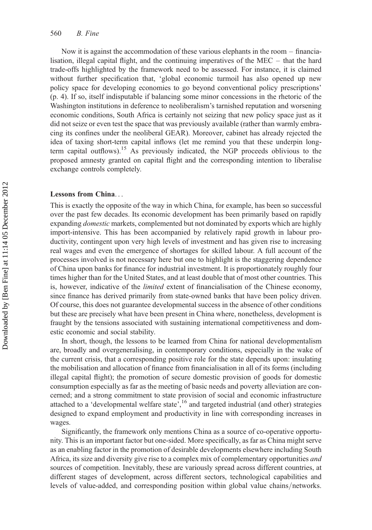Now it is against the accommodation of these various elephants in the room – financialisation, illegal capital flight, and the continuing imperatives of the MEC – that the hard trade-offs highlighted by the framework need to be assessed. For instance, it is claimed without further specification that, 'global economic turmoil has also opened up new policy space for developing economies to go beyond conventional policy prescriptions' (p. 4). If so, itself indisputable if balancing some minor concessions in the rhetoric of the Washington institutions in deference to neoliberalism's tarnished reputation and worsening economic conditions, South Africa is certainly not seizing that new policy space just as it did not seize or even test the space that was previously available (rather than warmly embracing its confines under the neoliberal GEAR). Moreover, cabinet has already rejected the idea of taxing short-term capital inflows (let me remind you that these underpin longterm capital outflows).<sup>15</sup> As previously indicated, the NGP proceeds oblivious to the proposed amnesty granted on capital flight and the corresponding intention to liberalise exchange controls completely.

#### Lessons from China...

This is exactly the opposite of the way in which China, for example, has been so successful over the past few decades. Its economic development has been primarily based on rapidly expanding domestic markets, complemented but not dominated by exports which are highly import-intensive. This has been accompanied by relatively rapid growth in labour productivity, contingent upon very high levels of investment and has given rise to increasing real wages and even the emergence of shortages for skilled labour. A full account of the processes involved is not necessary here but one to highlight is the staggering dependence of China upon banks for finance for industrial investment. It is proportionately roughly four times higher than for the United States, and at least double that of most other countries. This is, however, indicative of the limited extent of financialisation of the Chinese economy, since finance has derived primarily from state-owned banks that have been policy driven. Of course, this does not guarantee developmental success in the absence of other conditions but these are precisely what have been present in China where, nonetheless, development is fraught by the tensions associated with sustaining international competitiveness and domestic economic and social stability.

In short, though, the lessons to be learned from China for national developmentalism are, broadly and overgeneralising, in contemporary conditions, especially in the wake of the current crisis, that a corresponding positive role for the state depends upon: insulating the mobilisation and allocation of finance from financialisation in all of its forms (including illegal capital flight); the promotion of secure domestic provision of goods for domestic consumption especially as far as the meeting of basic needs and poverty alleviation are concerned; and a strong commitment to state provision of social and economic infrastructure attached to a 'developmental welfare state',  $^{16}$  and targeted industrial (and other) strategies designed to expand employment and productivity in line with corresponding increases in wages.

Significantly, the framework only mentions China as a source of co-operative opportunity. This is an important factor but one-sided. More specifically, as far as China might serve as an enabling factor in the promotion of desirable developments elsewhere including South Africa, its size and diversity give rise to a complex mix of complementary opportunities and sources of competition. Inevitably, these are variously spread across different countries, at different stages of development, across different sectors, technological capabilities and levels of value-added, and corresponding position within global value chains/networks.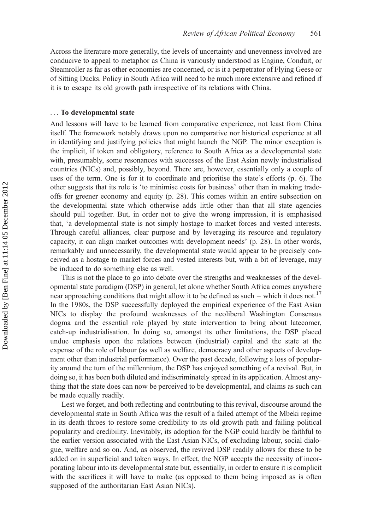Across the literature more generally, the levels of uncertainty and unevenness involved are conducive to appeal to metaphor as China is variously understood as Engine, Conduit, or Steamroller as far as other economies are concerned, or is it a perpetrator of Flying Geese or of Sitting Ducks. Policy in South Africa will need to be much more extensive and refined if it is to escape its old growth path irrespective of its relations with China.

#### ... To developmental state

And lessons will have to be learned from comparative experience, not least from China itself. The framework notably draws upon no comparative nor historical experience at all in identifying and justifying policies that might launch the NGP. The minor exception is the implicit, if token and obligatory, reference to South Africa as a developmental state with, presumably, some resonances with successes of the East Asian newly industrialised countries (NICs) and, possibly, beyond. There are, however, essentially only a couple of uses of the term. One is for it to coordinate and prioritise the state's efforts (p. 6). The other suggests that its role is 'to minimise costs for business' other than in making tradeoffs for greener economy and equity (p. 28). This comes within an entire subsection on the developmental state which otherwise adds little other than that all state agencies should pull together. But, in order not to give the wrong impression, it is emphasised that, 'a developmental state is not simply hostage to market forces and vested interests. Through careful alliances, clear purpose and by leveraging its resource and regulatory capacity, it can align market outcomes with development needs' (p. 28). In other words, remarkably and unnecessarily, the developmental state would appear to be precisely conceived as a hostage to market forces and vested interests but, with a bit of leverage, may be induced to do something else as well.

This is not the place to go into debate over the strengths and weaknesses of the developmental state paradigm (DSP) in general, let alone whether South Africa comes anywhere near approaching conditions that might allow it to be defined as such – which it does not.<sup>17</sup> In the 1980s, the DSP successfully deployed the empirical experience of the East Asian NICs to display the profound weaknesses of the neoliberal Washington Consensus dogma and the essential role played by state intervention to bring about latecomer, catch-up industrialisation. In doing so, amongst its other limitations, the DSP placed undue emphasis upon the relations between (industrial) capital and the state at the expense of the role of labour (as well as welfare, democracy and other aspects of development other than industrial performance). Over the past decade, following a loss of popularity around the turn of the millennium, the DSP has enjoyed something of a revival. But, in doing so, it has been both diluted and indiscriminately spread in its application. Almost anything that the state does can now be perceived to be developmental, and claims as such can be made equally readily.

Lest we forget, and both reflecting and contributing to this revival, discourse around the developmental state in South Africa was the result of a failed attempt of the Mbeki regime in its death throes to restore some credibility to its old growth path and failing political popularity and credibility. Inevitably, its adoption for the NGP could hardly be faithful to the earlier version associated with the East Asian NICs, of excluding labour, social dialogue, welfare and so on. And, as observed, the revived DSP readily allows for these to be added on in superficial and token ways. In effect, the NGP accepts the necessity of incorporating labour into its developmental state but, essentially, in order to ensure it is complicit with the sacrifices it will have to make (as opposed to them being imposed as is often supposed of the authoritarian East Asian NICs).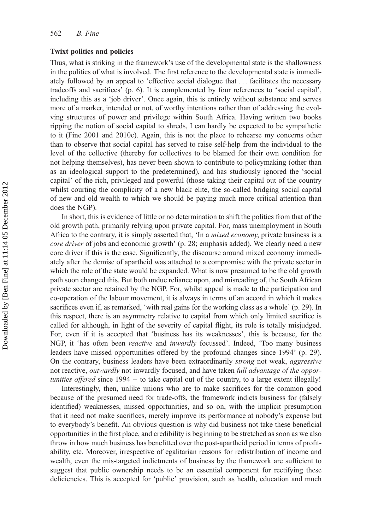## Twixt politics and policies

Thus, what is striking in the framework's use of the developmental state is the shallowness in the politics of what is involved. The first reference to the developmental state is immediately followed by an appeal to 'effective social dialogue that ... facilitates the necessary tradeoffs and sacrifices' (p. 6). It is complemented by four references to 'social capital', including this as a 'job driver'. Once again, this is entirely without substance and serves more of a marker, intended or not, of worthy intentions rather than of addressing the evolving structures of power and privilege within South Africa. Having written two books ripping the notion of social capital to shreds, I can hardly be expected to be sympathetic to it (Fine 2001 and 2010c). Again, this is not the place to rehearse my concerns other than to observe that social capital has served to raise self-help from the individual to the level of the collective (thereby for collectives to be blamed for their own condition for not helping themselves), has never been shown to contribute to policymaking (other than as an ideological support to the predetermined), and has studiously ignored the 'social capital' of the rich, privileged and powerful (those taking their capital out of the country whilst courting the complicity of a new black elite, the so-called bridging social capital of new and old wealth to which we should be paying much more critical attention than does the NGP).

In short, this is evidence of little or no determination to shift the politics from that of the old growth path, primarily relying upon private capital. For, mass unemployment in South Africa to the contrary, it is simply asserted that, 'In a *mixed economy*, private business is a core driver of jobs and economic growth' (p. 28; emphasis added). We clearly need a new core driver if this is the case. Significantly, the discourse around mixed economy immediately after the demise of apartheid was attached to a compromise with the private sector in which the role of the state would be expanded. What is now presumed to be the old growth path soon changed this. But both undue reliance upon, and misreading of, the South African private sector are retained by the NGP. For, whilst appeal is made to the participation and co-operation of the labour movement, it is always in terms of an accord in which it makes sacrifices even if, as remarked, 'with real gains for the working class as a whole' (p. 29). In this respect, there is an asymmetry relative to capital from which only limited sacrifice is called for although, in light of the severity of capital flight, its role is totally misjudged. For, even if it is accepted that 'business has its weaknesses', this is because, for the NGP, it 'has often been *reactive* and *inwardly* focussed'. Indeed, 'Too many business leaders have missed opportunities offered by the profound changes since 1994' (p. 29). On the contrary, business leaders have been extraordinarily strong not weak, aggressive not reactive, outwardly not inwardly focused, and have taken full advantage of the opportunities offered since 1994 – to take capital out of the country, to a large extent illegally!

Interestingly, then, unlike unions who are to make sacrifices for the common good because of the presumed need for trade-offs, the framework indicts business for (falsely identified) weaknesses, missed opportunities, and so on, with the implicit presumption that it need not make sacrifices, merely improve its performance at nobody's expense but to everybody's benefit. An obvious question is why did business not take these beneficial opportunities in the first place, and credibility is beginning to be stretched as soon as we also throw in how much business has benefitted over the post-apartheid period in terms of profitability, etc. Moreover, irrespective of egalitarian reasons for redistribution of income and wealth, even the mis-targeted indictments of business by the framework are sufficient to suggest that public ownership needs to be an essential component for rectifying these deficiencies. This is accepted for 'public' provision, such as health, education and much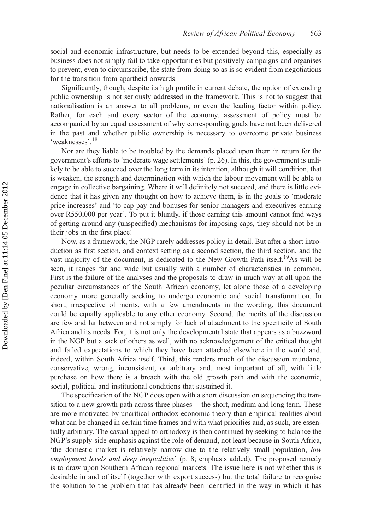social and economic infrastructure, but needs to be extended beyond this, especially as business does not simply fail to take opportunities but positively campaigns and organises to prevent, even to circumscribe, the state from doing so as is so evident from negotiations for the transition from apartheid onwards.

Significantly, though, despite its high profile in current debate, the option of extending public ownership is not seriously addressed in the framework. This is not to suggest that nationalisation is an answer to all problems, or even the leading factor within policy. Rather, for each and every sector of the economy, assessment of policy must be accompanied by an equal assessment of why corresponding goals have not been delivered in the past and whether public ownership is necessary to overcome private business 'weaknesses'.<sup>18</sup>

Nor are they liable to be troubled by the demands placed upon them in return for the government's efforts to 'moderate wage settlements' (p. 26). In this, the government is unlikely to be able to succeed over the long term in its intention, although it will condition, that is weaken, the strength and determination with which the labour movement will be able to engage in collective bargaining. Where it will definitely not succeed, and there is little evidence that it has given any thought on how to achieve them, is in the goals to 'moderate price increases' and 'to cap pay and bonuses for senior managers and executives earning over R550,000 per year'. To put it bluntly, if those earning this amount cannot find ways of getting around any (unspecified) mechanisms for imposing caps, they should not be in their jobs in the first place!

Now, as a framework, the NGP rarely addresses policy in detail. But after a short introduction as first section, and context setting as a second section, the third section, and the vast majority of the document, is dedicated to the New Growth Path itself.<sup>19</sup>As will be seen, it ranges far and wide but usually with a number of characteristics in common. First is the failure of the analyses and the proposals to draw in much way at all upon the peculiar circumstances of the South African economy, let alone those of a developing economy more generally seeking to undergo economic and social transformation. In short, irrespective of merits, with a few amendments in the wording, this document could be equally applicable to any other economy. Second, the merits of the discussion are few and far between and not simply for lack of attachment to the specificity of South Africa and its needs. For, it is not only the developmental state that appears as a buzzword in the NGP but a sack of others as well, with no acknowledgement of the critical thought and failed expectations to which they have been attached elsewhere in the world and, indeed, within South Africa itself. Third, this renders much of the discussion mundane, conservative, wrong, inconsistent, or arbitrary and, most important of all, with little purchase on how there is a breach with the old growth path and with the economic, social, political and institutional conditions that sustained it.

The specification of the NGP does open with a short discussion on sequencing the transition to a new growth path across three phases – the short, medium and long term. These are more motivated by uncritical orthodox economic theory than empirical realities about what can be changed in certain time frames and with what priorities and, as such, are essentially arbitrary. The casual appeal to orthodoxy is then continued by seeking to balance the NGP's supply-side emphasis against the role of demand, not least because in South Africa, 'the domestic market is relatively narrow due to the relatively small population, low employment levels and deep inequalities' (p. 8; emphasis added). The proposed remedy is to draw upon Southern African regional markets. The issue here is not whether this is desirable in and of itself (together with export success) but the total failure to recognise the solution to the problem that has already been identified in the way in which it has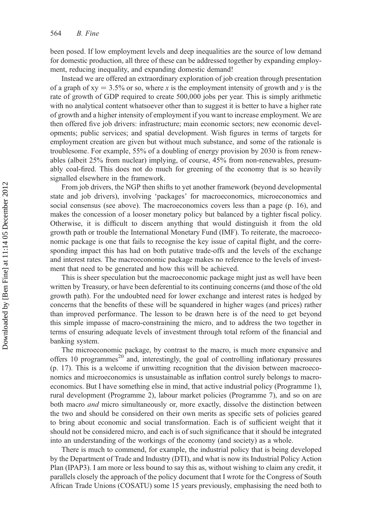been posed. If low employment levels and deep inequalities are the source of low demand for domestic production, all three of these can be addressed together by expanding employment, reducing inequality, and expanding domestic demand!

Instead we are offered an extraordinary exploration of job creation through presentation of a graph of  $xy = 3.5\%$  or so, where x is the employment intensity of growth and y is the rate of growth of GDP required to create 500,000 jobs per year. This is simply arithmetic with no analytical content whatsoever other than to suggest it is better to have a higher rate of growth and a higher intensity of employment if you want to increase employment. We are then offered five job drivers: infrastructure; main economic sectors; new economic developments; public services; and spatial development. Wish figures in terms of targets for employment creation are given but without much substance, and some of the rationale is troublesome. For example, 55% of a doubling of energy provision by 2030 is from renewables (albeit 25% from nuclear) implying, of course, 45% from non-renewables, presumably coal-fired. This does not do much for greening of the economy that is so heavily signalled elsewhere in the framework.

From job drivers, the NGP then shifts to yet another framework (beyond developmental state and job drivers), involving 'packages' for macroeconomics, microeconomics and social consensus (see above). The macroeconomics covers less than a page (p. 16), and makes the concession of a looser monetary policy but balanced by a tighter fiscal policy. Otherwise, it is difficult to discern anything that would distinguish it from the old growth path or trouble the International Monetary Fund (IMF). To reiterate, the macroeconomic package is one that fails to recognise the key issue of capital flight, and the corresponding impact this has had on both putative trade-offs and the levels of the exchange and interest rates. The macroeconomic package makes no reference to the levels of investment that need to be generated and how this will be achieved.

This is sheer speculation but the macroeconomic package might just as well have been written by Treasury, or have been deferential to its continuing concerns (and those of the old growth path). For the undoubted need for lower exchange and interest rates is hedged by concerns that the benefits of these will be squandered in higher wages (and prices) rather than improved performance. The lesson to be drawn here is of the need to get beyond this simple impasse of macro-constraining the micro, and to address the two together in terms of ensuring adequate levels of investment through total reform of the financial and banking system.

The microeconomic package, by contrast to the macro, is much more expansive and offers 10 programmes<sup>20</sup> and, interestingly, the goal of controlling inflationary pressures (p. 17). This is a welcome if unwitting recognition that the division between macroeconomics and microeconomics is unsustainable as inflation control surely belongs to macroeconomics. But I have something else in mind, that active industrial policy (Programme 1), rural development (Programme 2), labour market policies (Programme 7), and so on are both macro *and* micro simultaneously or, more exactly, dissolve the distinction between the two and should be considered on their own merits as specific sets of policies geared to bring about economic and social transformation. Each is of sufficient weight that it should not be considered micro, and each is of such significance that it should be integrated into an understanding of the workings of the economy (and society) as a whole.

There is much to commend, for example, the industrial policy that is being developed by the Department of Trade and Industry (DTI), and what is now its Industrial Policy Action Plan (IPAP3). I am more or less bound to say this as, without wishing to claim any credit, it parallels closely the approach of the policy document that I wrote for the Congress of South African Trade Unions (COSATU) some 15 years previously, emphasising the need both to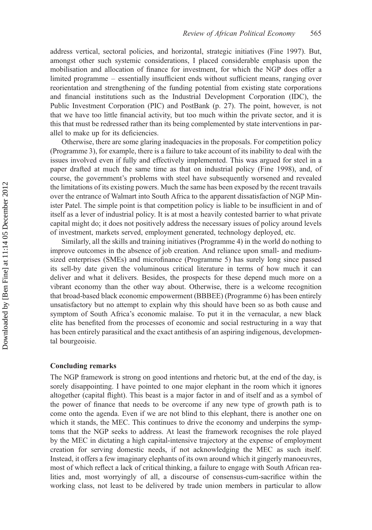address vertical, sectoral policies, and horizontal, strategic initiatives (Fine 1997). But, amongst other such systemic considerations, I placed considerable emphasis upon the mobilisation and allocation of finance for investment, for which the NGP does offer a limited programme – essentially insufficient ends without sufficient means, ranging over reorientation and strengthening of the funding potential from existing state corporations and financial institutions such as the Industrial Development Corporation (IDC), the Public Investment Corporation (PIC) and PostBank (p. 27). The point, however, is not that we have too little financial activity, but too much within the private sector, and it is this that must be redressed rather than its being complemented by state interventions in parallel to make up for its deficiencies.

Otherwise, there are some glaring inadequacies in the proposals. For competition policy (Programme 3), for example, there is a failure to take account of its inability to deal with the issues involved even if fully and effectively implemented. This was argued for steel in a paper drafted at much the same time as that on industrial policy (Fine 1998), and, of course, the government's problems with steel have subsequently worsened and revealed the limitations of its existing powers. Much the same has been exposed by the recent travails over the entrance of Walmart into South Africa to the apparent dissatisfaction of NGP Minister Patel. The simple point is that competition policy is liable to be insufficient in and of itself as a lever of industrial policy. It is at most a heavily contested barrier to what private capital might do; it does not positively address the necessary issues of policy around levels of investment, markets served, employment generated, technology deployed, etc.

Similarly, all the skills and training initiatives (Programme 4) in the world do nothing to improve outcomes in the absence of job creation. And reliance upon small- and mediumsized enterprises (SMEs) and microfinance (Programme 5) has surely long since passed its sell-by date given the voluminous critical literature in terms of how much it can deliver and what it delivers. Besides, the prospects for these depend much more on a vibrant economy than the other way about. Otherwise, there is a welcome recognition that broad-based black economic empowerment (BBBEE) (Programme 6) has been entirely unsatisfactory but no attempt to explain why this should have been so as both cause and symptom of South Africa's economic malaise. To put it in the vernacular, a new black elite has benefited from the processes of economic and social restructuring in a way that has been entirely parasitical and the exact antithesis of an aspiring indigenous, developmental bourgeoisie.

### Concluding remarks

The NGP framework is strong on good intentions and rhetoric but, at the end of the day, is sorely disappointing. I have pointed to one major elephant in the room which it ignores altogether (capital flight). This beast is a major factor in and of itself and as a symbol of the power of finance that needs to be overcome if any new type of growth path is to come onto the agenda. Even if we are not blind to this elephant, there is another one on which it stands, the MEC. This continues to drive the economy and underpins the symptoms that the NGP seeks to address. At least the framework recognises the role played by the MEC in dictating a high capital-intensive trajectory at the expense of employment creation for serving domestic needs, if not acknowledging the MEC as such itself. Instead, it offers a few imaginary elephants of its own around which it gingerly manoeuvres, most of which reflect a lack of critical thinking, a failure to engage with South African realities and, most worryingly of all, a discourse of consensus-cum-sacrifice within the working class, not least to be delivered by trade union members in particular to allow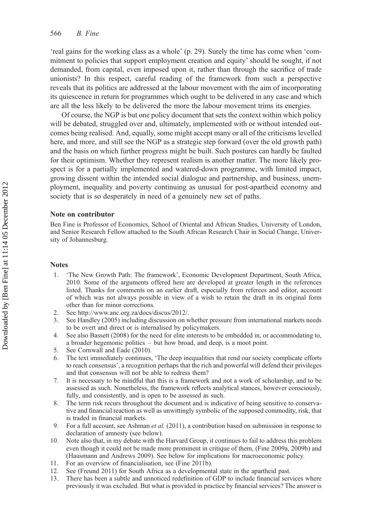'real gains for the working class as a whole' (p. 29). Surely the time has come when 'commitment to policies that support employment creation and equity' should be sought, if not demanded, from capital, even imposed upon it, rather than through the sacrifice of trade unionists? In this respect, careful reading of the framework from such a perspective reveals that its politics are addressed at the labour movement with the aim of incorporating its quiescence in return for programmes which ought to be delivered in any case and which are all the less likely to be delivered the more the labour movement trims its energies.

Of course, the NGP is but one policy document that sets the context within which policy will be debated, struggled over and, ultimately, implemented with or without intended outcomes being realised. And, equally, some might accept many or all of the criticisms levelled here, and more, and still see the NGP as a strategic step forward (over the old growth path) and the basis on which further progress might be built. Such postures can hardly be faulted for their optimism. Whether they represent realism is another matter. The more likely prospect is for a partially implemented and watered-down programme, with limited impact, growing dissent within the intended social dialogue and partnership, and business, unemployment, inequality and poverty continuing as unusual for post-apartheid economy and society that is so desperately in need of a genuinely new set of paths.

## Note on contributor

Ben Fine is Professor of Economics, School of Oriental and African Studies, University of London, and Senior Research Fellow attached to the South African Research Chair in Social Change, University of Johannesburg.

#### **Notes**

- 1. 'The New Growth Path: The framework', Economic Development Department, South Africa, 2010. Some of the arguments offered here are developed at greater length in the references listed. Thanks for comments on an earlier draft, especially from referees and editor, account of which was not always possible in view of a wish to retain the draft in its original form other than for minor corrections.
- 2. See [http://www.anc.org.za/docs/discus/2012/.](http://www.anc.org.za/docs/discus/2012/)
- 3. See Handley (2005) including discussion on whether pressure from international markets needs to be overt and direct or is internalised by policymakers.
- 4. See also Bassett (2008) for the need for elite interests to be embedded in, or accommodating to, a broader hegemonic politics – but how broad, and deep, is a moot point.
- 5. See Cornwall and Eade (2010).
- 6. The text immediately continues, 'The deep inequalities that rend our society complicate efforts to reach consensus', a recognition perhaps that the rich and powerful will defend their privileges and that consensus will not be able to redress them?
- 7. It is necessary to be mindful that this is a framework and not a work of scholarship, and to be assessed as such. Nonetheless, the framework reflects analytical stances, however consciously, fully, and consistently, and is open to be assessed as such.
- 8. The term risk recurs throughout the document and is indicative of being sensitive to conservative and financial reaction as well as unwittingly symbolic of the supposed commodity, risk, that is traded in financial markets.
- 9. For a full account, see Ashman *et al.* (2011), a contribution based on submission in response to declaration of amnesty (see below).
- 10. Note also that, in my debate with the Harvard Group, it continues to fail to address this problem even though it could not be made more prominent in critique of them, (Fine 2009a, 2009b) and (Hausmann and Andrews 2009). See below for implications for macroeconomic policy.
- 11. For an overview of financialisation, see (Fine 2011b).
- 12. See (Freund 2011) for South Africa as a developmental state in the apartheid past.
- 13. There has been a subtle and unnoticed redefinition of GDP to include financial services where previously it was excluded. But what is provided in practice by financial services? The answer is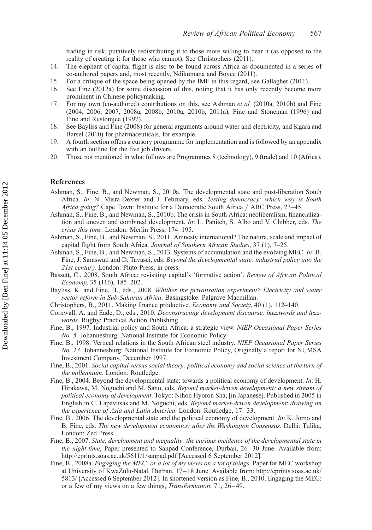trading in risk, putatively redistributing it to those more willing to bear it (as opposed to the reality of creating it for those who cannot). See Christophers (2011).

- 14. The elephant of capital flight is also to be found across Africa as documented in a series of co-authored papers and, most recently, Ndikumana and Boyce (2011).
- 15. For a critique of the space being opened by the IMF in this regard, see Gallagher (2011).
- 16. See Fine (2012a) for some discussion of this, noting that it has only recently become more prominent in Chinese policymaking.
- 17. For my own (co-authored) contributions on this, see Ashman *et al.* (2010a, 2010b) and Fine (2004, 2006, 2007, 2008a, 2008b, 2010a, 2010b, 2011a), Fine and Stoneman (1996) and Fine and Rustomjee (1997).
- 18. See Bayliss and Fine (2008) for general arguments around water and electricity, and Kgara and Barsel (2010) for pharmaceuticals, for example.
- 19. A fourth section offers a cursory programme for implementation and is followed by an appendix with an outline for the five job drivers.
- 20. Those not mentioned in what follows are Programmes 8 (technology), 9 (trade) and 10 (Africa).

#### References

- Ashman, S., Fine, B., and Newman, S., 2010a. The developmental state and post-liberation South Africa. In: N. Misra-Dexter and J. February, eds. Testing democracy: which way is South Africa going? Cape Town: Institute for a Democratic South Africa / ABC Press, 23–45.
- Ashman, S., Fine, B., and Newman, S., 2010b. The crisis in South Africa: neoliberalism, financialization and uneven and combined development. In: L. Panitch, S. Albo and V. Chibber, eds. The crisis this time. London: Merlin Press, 174–195.
- Ashman, S., Fine, B., and Newman, S., 2011. Amnesty international? The nature, scale and impact of capital flight from South Africa. Journal of Southern African Studies, 37 (1), 7-25.
- Ashman, S., Fine, B., and Newman, S., 2013. Systems of accumulation and the evolving MEC. In: B. Fine, J. Saraswati and D. Tavasci, eds. Beyond the developmental state: industrial policy into the 21st century. London: Pluto Press, in press.
- Bassett, C., 2008. South Africa: revisiting capital's 'formative action'. Review of African Political Economy, 35 (116), 185–202.
- Bayliss, K. and Fine, B., eds., 2008. Whither the privatisation experiment? Electricity and water sector reform in Sub-Saharan Africa. Basingstoke: Palgrave Macmillan.
- Christophers, B., 2011. Making finance productive. Economy and Society, 40 (1), 112–140.
- Cornwall, A. and Eade, D., eds., 2010. Deconstructing development discourse: buzzwords and fuzzwords. Rugby: Practical Action Publishing.
- Fine, B., 1997. Industrial policy and South Africa: a strategic view. NIEP Occasional Paper Series No. 5. Johannesburg: National Institute for Economic Policy.
- Fine, B., 1998. Vertical relations in the South African steel industry. NIEP Occasional Paper Series No. 13. Johannesburg: National Institute for Economic Policy, Originally a report for NUMSA Investment Company, December 1997.
- Fine, B., 2001. Social capital versus social theory: political economy and social science at the turn of the millennium. London: Routledge.
- Fine, B., 2004. Beyond the developmental state: towards a political economy of development. In: H. Hirakawa, M. Noguchi and M. Sano, eds. Beyond market-driven development: a new stream of political economy of development. Tokyo: Nihon Hyoron Sha, [in Japanese]. Published in 2005 in English in C. Lapavitsas and M. Noguchi, eds. Beyond market-driven development: drawing on the experience of Asia and Latin America. London: Routledge, 17–33.
- Fine, B., 2006. The developmental state and the political economy of development. In: K. Jomo and B. Fine, eds. The new development economics: after the Washington Consensus. Delhi: Tulika, London: Zed Press.
- Fine, B., 2007. State, development and inequality: the curious incidence of the developmental state in the night-time, Paper presented to Sanpad Conference, Durban, 26–30 June. Available from: <http://eprints.soas.ac.uk/5611/1/sanpad.pdf> [Accessed 6 September 2012].
- Fine, B., 2008a. *Engaging the MEC: or a lot of my views on a lot of things*. Paper for MEC workshop at University of KwaZulu-Natal, Durban, 17 –18 June. Available from: [http://eprints.soas.ac.uk/](http://eprints.soas.ac.uk/5813/) [5813/](http://eprints.soas.ac.uk/5813/) [Accessed 6 September 2012]. In shortened version as Fine, B., 2010. Engaging the MEC: or a few of my views on a few things, Transformation, 71, 26 –49.